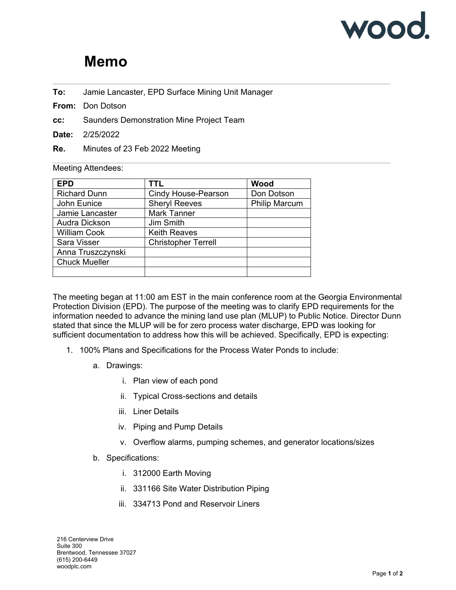

## **Memo**

- **To:** Jamie Lancaster, EPD Surface Mining Unit Manager
- **From:** Don Dotson
- **cc:** Saunders Demonstration Mine Project Team
- **Date:** 2/25/2022
- **Re.** Minutes of 23 Feb 2022 Meeting

## Meeting Attendees:

| <b>EPD</b>           | TTL                        | Wood                 |
|----------------------|----------------------------|----------------------|
| <b>Richard Dunn</b>  | Cindy House-Pearson        | Don Dotson           |
| John Eunice          | <b>Sheryl Reeves</b>       | <b>Philip Marcum</b> |
| Jamie Lancaster      | <b>Mark Tanner</b>         |                      |
| Audra Dickson        | Jim Smith                  |                      |
| <b>William Cook</b>  | <b>Keith Reaves</b>        |                      |
| Sara Visser          | <b>Christopher Terrell</b> |                      |
| Anna Truszczynski    |                            |                      |
| <b>Chuck Mueller</b> |                            |                      |
|                      |                            |                      |

The meeting began at 11:00 am EST in the main conference room at the Georgia Environmental Protection Division (EPD). The purpose of the meeting was to clarify EPD requirements for the information needed to advance the mining land use plan (MLUP) to Public Notice. Director Dunn stated that since the MLUP will be for zero process water discharge, EPD was looking for sufficient documentation to address how this will be achieved. Specifically, EPD is expecting:

- 1. 100% Plans and Specifications for the Process Water Ponds to include:
	- a. Drawings:
		- i. Plan view of each pond
		- ii. Typical Cross-sections and details
		- iii. Liner Details
		- iv. Piping and Pump Details
		- v. Overflow alarms, pumping schemes, and generator locations/sizes
	- b. Specifications:
		- i. 312000 Earth Moving
		- ii. 331166 Site Water Distribution Piping
		- iii. 334713 Pond and Reservoir Liners